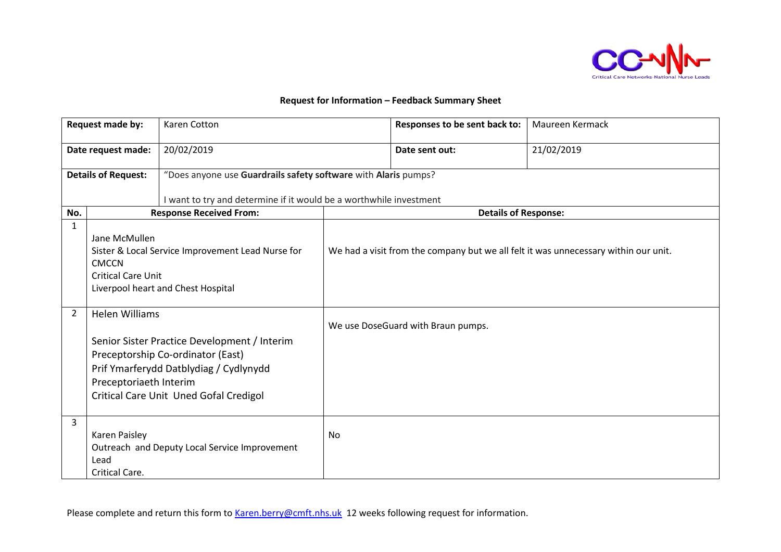

## **Request for Information – Feedback Summary Sheet**

| Request made by:           |                                                                                                                                                       | Karen Cotton                                                       |                                                                                     | Responses to be sent back to:      | Maureen Kermack |  |
|----------------------------|-------------------------------------------------------------------------------------------------------------------------------------------------------|--------------------------------------------------------------------|-------------------------------------------------------------------------------------|------------------------------------|-----------------|--|
| Date request made:         |                                                                                                                                                       | 20/02/2019                                                         |                                                                                     | Date sent out:                     | 21/02/2019      |  |
| <b>Details of Request:</b> |                                                                                                                                                       | "Does anyone use Guardrails safety software with Alaris pumps?     |                                                                                     |                                    |                 |  |
|                            |                                                                                                                                                       | I want to try and determine if it would be a worthwhile investment |                                                                                     |                                    |                 |  |
| No.                        |                                                                                                                                                       | <b>Response Received From:</b>                                     |                                                                                     | <b>Details of Response:</b>        |                 |  |
| $\mathbf{1}$               | Jane McMullen<br>Sister & Local Service Improvement Lead Nurse for<br><b>CMCCN</b><br><b>Critical Care Unit</b><br>Liverpool heart and Chest Hospital |                                                                    | We had a visit from the company but we all felt it was unnecessary within our unit. |                                    |                 |  |
| $\overline{2}$             | <b>Helen Williams</b>                                                                                                                                 |                                                                    |                                                                                     | We use DoseGuard with Braun pumps. |                 |  |
|                            |                                                                                                                                                       | Senior Sister Practice Development / Interim                       |                                                                                     |                                    |                 |  |
|                            |                                                                                                                                                       | Preceptorship Co-ordinator (East)                                  |                                                                                     |                                    |                 |  |
|                            |                                                                                                                                                       | Prif Ymarferydd Datblydiag / Cydlynydd                             |                                                                                     |                                    |                 |  |
| Preceptoriaeth Interim     |                                                                                                                                                       |                                                                    |                                                                                     |                                    |                 |  |
|                            |                                                                                                                                                       | Critical Care Unit Uned Gofal Credigol                             |                                                                                     |                                    |                 |  |
| 3                          | Karen Paisley<br>Lead<br>Critical Care.                                                                                                               | Outreach and Deputy Local Service Improvement                      | No                                                                                  |                                    |                 |  |

Please complete and return this form to [Karen.berry@cmft.nhs.uk](mailto:Karen.berry@cmft.nhs.uk) 12 weeks following request for information.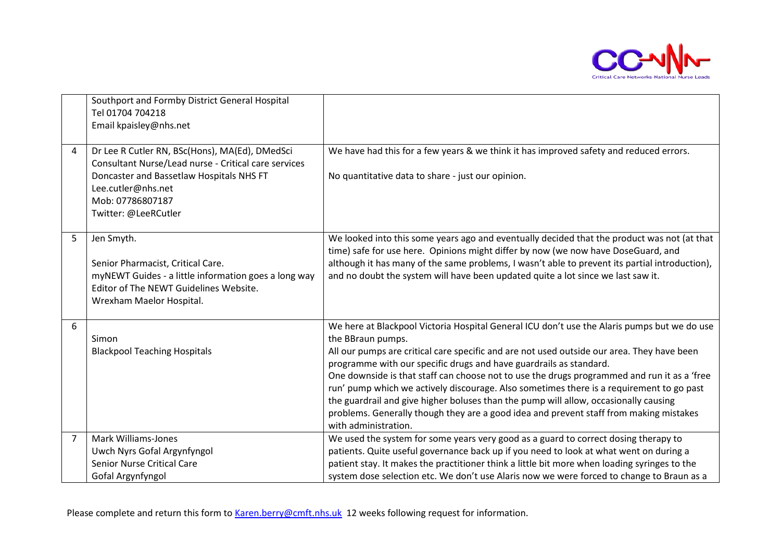

|                | Southport and Formby District General Hospital<br>Tel 01704 704218<br>Email kpaisley@nhs.net                                                                                                                         |                                                                                                                                                                                                                                                                                                                                                                                                                                                                                                                                                                                                                                                                                           |
|----------------|----------------------------------------------------------------------------------------------------------------------------------------------------------------------------------------------------------------------|-------------------------------------------------------------------------------------------------------------------------------------------------------------------------------------------------------------------------------------------------------------------------------------------------------------------------------------------------------------------------------------------------------------------------------------------------------------------------------------------------------------------------------------------------------------------------------------------------------------------------------------------------------------------------------------------|
| 4              | Dr Lee R Cutler RN, BSc(Hons), MA(Ed), DMedSci<br>Consultant Nurse/Lead nurse - Critical care services<br>Doncaster and Bassetlaw Hospitals NHS FT<br>Lee.cutler@nhs.net<br>Mob: 07786807187<br>Twitter: @LeeRCutler | We have had this for a few years & we think it has improved safety and reduced errors.<br>No quantitative data to share - just our opinion.                                                                                                                                                                                                                                                                                                                                                                                                                                                                                                                                               |
| 5              | Jen Smyth.<br>Senior Pharmacist, Critical Care.<br>myNEWT Guides - a little information goes a long way<br>Editor of The NEWT Guidelines Website.<br>Wrexham Maelor Hospital.                                        | We looked into this some years ago and eventually decided that the product was not (at that<br>time) safe for use here. Opinions might differ by now (we now have DoseGuard, and<br>although it has many of the same problems, I wasn't able to prevent its partial introduction),<br>and no doubt the system will have been updated quite a lot since we last saw it.                                                                                                                                                                                                                                                                                                                    |
| 6              | Simon<br><b>Blackpool Teaching Hospitals</b>                                                                                                                                                                         | We here at Blackpool Victoria Hospital General ICU don't use the Alaris pumps but we do use<br>the BBraun pumps.<br>All our pumps are critical care specific and are not used outside our area. They have been<br>programme with our specific drugs and have guardrails as standard.<br>One downside is that staff can choose not to use the drugs programmed and run it as a 'free<br>run' pump which we actively discourage. Also sometimes there is a requirement to go past<br>the guardrail and give higher boluses than the pump will allow, occasionally causing<br>problems. Generally though they are a good idea and prevent staff from making mistakes<br>with administration. |
| $\overline{7}$ | <b>Mark Williams-Jones</b><br>Uwch Nyrs Gofal Argynfyngol<br><b>Senior Nurse Critical Care</b><br>Gofal Argynfyngol                                                                                                  | We used the system for some years very good as a guard to correct dosing therapy to<br>patients. Quite useful governance back up if you need to look at what went on during a<br>patient stay. It makes the practitioner think a little bit more when loading syringes to the<br>system dose selection etc. We don't use Alaris now we were forced to change to Braun as a                                                                                                                                                                                                                                                                                                                |

Please complete and return this form to [Karen.berry@cmft.nhs.uk](mailto:Karen.berry@cmft.nhs.uk) 12 weeks following request for information.